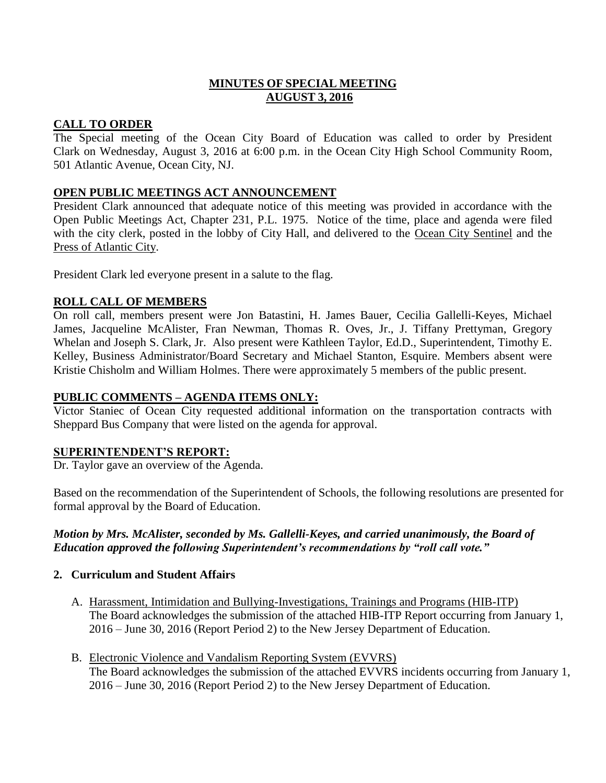# **MINUTES OF SPECIAL MEETING AUGUST 3, 2016**

## **CALL TO ORDER**

The Special meeting of the Ocean City Board of Education was called to order by President Clark on Wednesday, August 3, 2016 at 6:00 p.m. in the Ocean City High School Community Room, 501 Atlantic Avenue, Ocean City, NJ.

## **OPEN PUBLIC MEETINGS ACT ANNOUNCEMENT**

President Clark announced that adequate notice of this meeting was provided in accordance with the Open Public Meetings Act, Chapter 231, P.L. 1975. Notice of the time, place and agenda were filed with the city clerk, posted in the lobby of City Hall, and delivered to the Ocean City Sentinel and the Press of Atlantic City.

President Clark led everyone present in a salute to the flag.

## **ROLL CALL OF MEMBERS**

On roll call, members present were Jon Batastini, H. James Bauer, Cecilia Gallelli-Keyes, Michael James, Jacqueline McAlister, Fran Newman, Thomas R. Oves, Jr., J. Tiffany Prettyman, Gregory Whelan and Joseph S. Clark, Jr. Also present were Kathleen Taylor, Ed.D., Superintendent, Timothy E. Kelley, Business Administrator/Board Secretary and Michael Stanton, Esquire. Members absent were Kristie Chisholm and William Holmes. There were approximately 5 members of the public present.

### **PUBLIC COMMENTS – AGENDA ITEMS ONLY:**

Victor Staniec of Ocean City requested additional information on the transportation contracts with Sheppard Bus Company that were listed on the agenda for approval.

### **SUPERINTENDENT'S REPORT:**

Dr. Taylor gave an overview of the Agenda.

Based on the recommendation of the Superintendent of Schools, the following resolutions are presented for formal approval by the Board of Education.

# *Motion by Mrs. McAlister, seconded by Ms. Gallelli-Keyes, and carried unanimously, the Board of Education approved the following Superintendent's recommendations by "roll call vote."*

### **2. Curriculum and Student Affairs**

- A. Harassment, Intimidation and Bullying-Investigations, Trainings and Programs (HIB-ITP) The Board acknowledges the submission of the attached HIB-ITP Report occurring from January 1, 2016 – June 30, 2016 (Report Period 2) to the New Jersey Department of Education.
- B. Electronic Violence and Vandalism Reporting System (EVVRS) The Board acknowledges the submission of the attached EVVRS incidents occurring from January 1, 2016 – June 30, 2016 (Report Period 2) to the New Jersey Department of Education.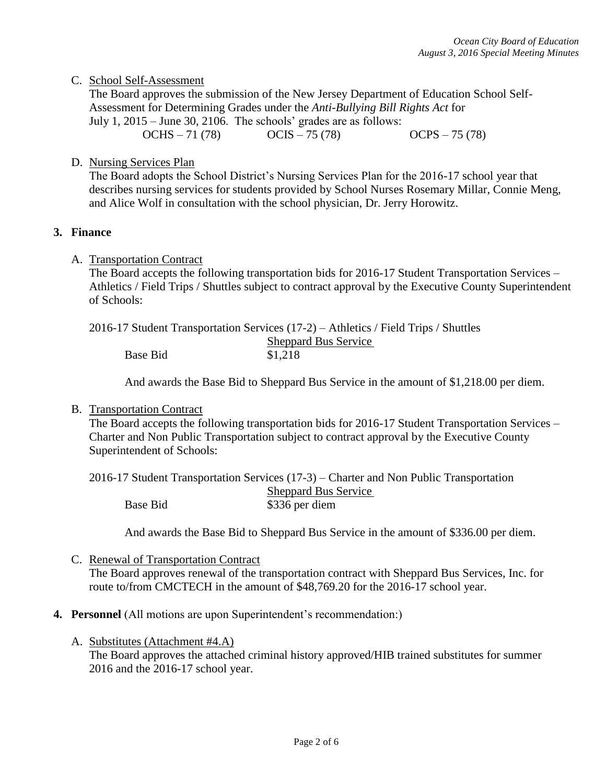## C. School Self-Assessment

The Board approves the submission of the New Jersey Department of Education School Self-Assessment for Determining Grades under the *Anti-Bullying Bill Rights Act* for July 1, 2015 – June 30, 2106. The schools' grades are as follows: OCHS – 71 (78) OCIS – 75 (78) OCPS – 75 (78)

D. Nursing Services Plan

The Board adopts the School District's Nursing Services Plan for the 2016-17 school year that describes nursing services for students provided by School Nurses Rosemary Millar, Connie Meng, and Alice Wolf in consultation with the school physician, Dr. Jerry Horowitz.

### **3. Finance**

A. Transportation Contract

The Board accepts the following transportation bids for 2016-17 Student Transportation Services – Athletics / Field Trips / Shuttles subject to contract approval by the Executive County Superintendent of Schools:

|          | 2016-17 Student Transportation Services (17-2) – Athletics / Field Trips / Shuttles |
|----------|-------------------------------------------------------------------------------------|
|          | <b>Sheppard Bus Service</b>                                                         |
| Base Bid | \$1,218                                                                             |

And awards the Base Bid to Sheppard Bus Service in the amount of \$1,218.00 per diem.

### B. Transportation Contract

The Board accepts the following transportation bids for 2016-17 Student Transportation Services – Charter and Non Public Transportation subject to contract approval by the Executive County Superintendent of Schools:

|          | 2016-17 Student Transportation Services (17-3) – Charter and Non Public Transportation |
|----------|----------------------------------------------------------------------------------------|
|          | <b>Sheppard Bus Service</b>                                                            |
| Base Bid | \$336 per diem                                                                         |

And awards the Base Bid to Sheppard Bus Service in the amount of \$336.00 per diem.

- C. Renewal of Transportation Contract The Board approves renewal of the transportation contract with Sheppard Bus Services, Inc. for route to/from CMCTECH in the amount of \$48,769.20 for the 2016-17 school year.
- **4. Personnel** (All motions are upon Superintendent's recommendation:)
	- A. Substitutes (Attachment #4.A)

The Board approves the attached criminal history approved/HIB trained substitutes for summer 2016 and the 2016-17 school year.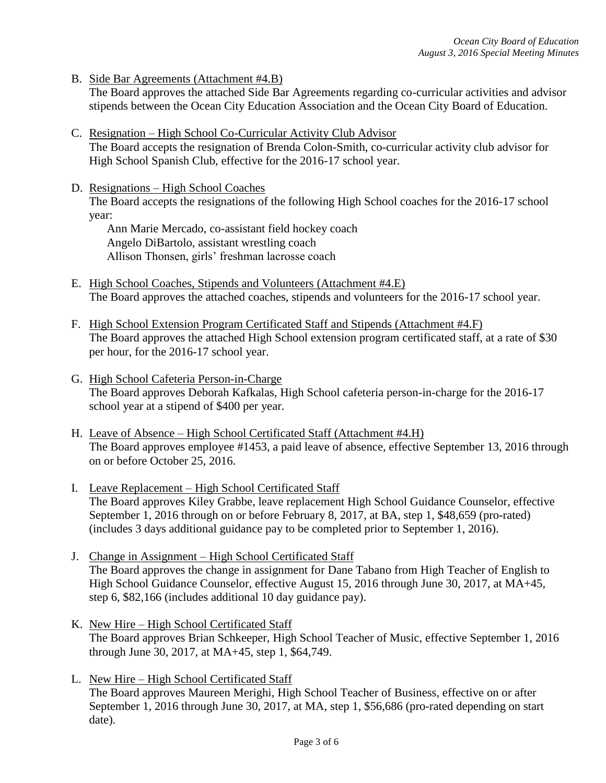B. Side Bar Agreements (Attachment #4.B)

The Board approves the attached Side Bar Agreements regarding co-curricular activities and advisor stipends between the Ocean City Education Association and the Ocean City Board of Education.

- C. Resignation High School Co-Curricular Activity Club Advisor The Board accepts the resignation of Brenda Colon-Smith, co-curricular activity club advisor for High School Spanish Club, effective for the 2016-17 school year.
- D. Resignations High School Coaches The Board accepts the resignations of the following High School coaches for the 2016-17 school year:

Ann Marie Mercado, co-assistant field hockey coach Angelo DiBartolo, assistant wrestling coach Allison Thonsen, girls' freshman lacrosse coach

- E. High School Coaches, Stipends and Volunteers (Attachment #4.E) The Board approves the attached coaches, stipends and volunteers for the 2016-17 school year.
- F. High School Extension Program Certificated Staff and Stipends (Attachment #4.F) The Board approves the attached High School extension program certificated staff, at a rate of \$30 per hour, for the 2016-17 school year.
- G. High School Cafeteria Person-in-Charge The Board approves Deborah Kafkalas, High School cafeteria person-in-charge for the 2016-17 school year at a stipend of \$400 per year.
- H. Leave of Absence High School Certificated Staff (Attachment #4.H) The Board approves employee #1453, a paid leave of absence, effective September 13, 2016 through on or before October 25, 2016.
- I. Leave Replacement High School Certificated Staff The Board approves Kiley Grabbe, leave replacement High School Guidance Counselor, effective September 1, 2016 through on or before February 8, 2017, at BA, step 1, \$48,659 (pro-rated) (includes 3 days additional guidance pay to be completed prior to September 1, 2016).
- J. Change in Assignment High School Certificated Staff The Board approves the change in assignment for Dane Tabano from High Teacher of English to High School Guidance Counselor, effective August 15, 2016 through June 30, 2017, at MA+45, step 6, \$82,166 (includes additional 10 day guidance pay).
- K. New Hire High School Certificated Staff The Board approves Brian Schkeeper, High School Teacher of Music, effective September 1, 2016 through June 30, 2017, at MA+45, step 1, \$64,749.
- L. New Hire High School Certificated Staff The Board approves Maureen Merighi, High School Teacher of Business, effective on or after September 1, 2016 through June 30, 2017, at MA, step 1, \$56,686 (pro-rated depending on start date).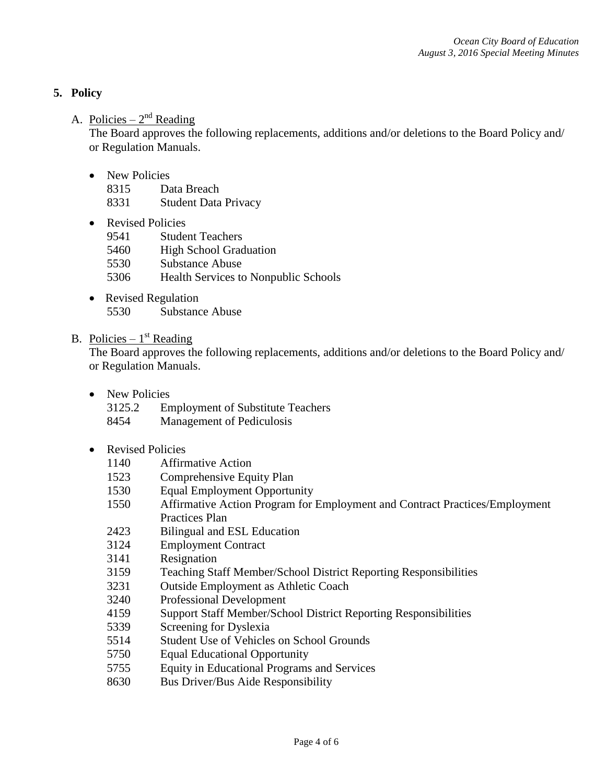# **5. Policy**

# A. Policies –  $2<sup>nd</sup>$  Reading

The Board approves the following replacements, additions and/or deletions to the Board Policy and/ or Regulation Manuals.

• New Policies

8315 Data Breach

- 8331 Student Data Privacy
- Revised Policies
	- 9541 Student Teachers
	- 5460 High School Graduation
	- 5530 Substance Abuse
	- 5306 Health Services to Nonpublic Schools
- Revised Regulation 5530 Substance Abuse

# B. Policies –  $1<sup>st</sup>$  Reading

The Board approves the following replacements, additions and/or deletions to the Board Policy and/ or Regulation Manuals.

- New Policies
	- 3125.2 Employment of Substitute Teachers
	- 8454 Management of Pediculosis
- Revised Policies
	- 1140 Affirmative Action
	- 1523 Comprehensive Equity Plan
	- 1530 Equal Employment Opportunity
	- 1550 Affirmative Action Program for Employment and Contract Practices/Employment Practices Plan
	- 2423 Bilingual and ESL Education
	- 3124 Employment Contract
	- 3141 Resignation
	- 3159 Teaching Staff Member/School District Reporting Responsibilities
	- 3231 Outside Employment as Athletic Coach
	- 3240 Professional Development
	- 4159 Support Staff Member/School District Reporting Responsibilities
	- 5339 Screening for Dyslexia
	- 5514 Student Use of Vehicles on School Grounds
	- 5750 Equal Educational Opportunity
	- 5755 Equity in Educational Programs and Services
	- 8630 Bus Driver/Bus Aide Responsibility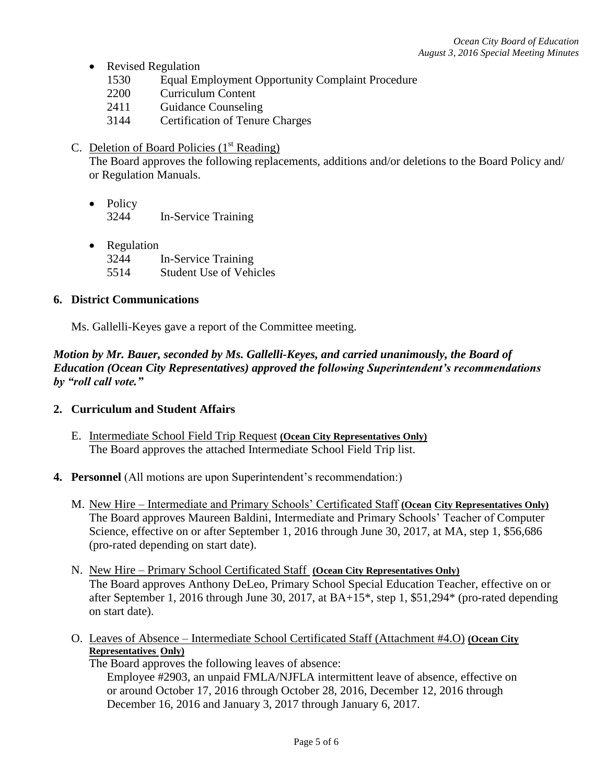- Revised Regulation
	- 1530 Equal Employment Opportunity Complaint Procedure
	- 2200 Curriculum Content
	- 2411 Guidance Counseling
	- 3144 Certification of Tenure Charges
- C. Deletion of Board Policies  $(1<sup>st</sup> Reading)$

The Board approves the following replacements, additions and/or deletions to the Board Policy and/ or Regulation Manuals.

- Policy 3244 In-Service Training
- Regulation 3244 In-Service Training 5514 Student Use of Vehicles

## **6. District Communications**

Ms. Gallelli-Keyes gave a report of the Committee meeting.

*Motion by Mr. Bauer, seconded by Ms. Gallelli-Keyes, and carried unanimously, the Board of Education (Ocean City Representatives) approved the following Superintendent's recommendations by "roll call vote."* 

### **2. Curriculum and Student Affairs**

- E. Intermediate School Field Trip Request **(Ocean City Representatives Only)** The Board approves the attached Intermediate School Field Trip list.
- **4. Personnel** (All motions are upon Superintendent's recommendation:)
	- M. New Hire Intermediate and Primary Schools' Certificated Staff **(Ocean City Representatives Only)** The Board approves Maureen Baldini, Intermediate and Primary Schools' Teacher of Computer Science, effective on or after September 1, 2016 through June 30, 2017, at MA, step 1, \$56,686 (pro-rated depending on start date).
	- N. New Hire Primary School Certificated Staff **(Ocean City Representatives Only)** The Board approves Anthony DeLeo, Primary School Special Education Teacher, effective on or after September 1, 2016 through June 30, 2017, at BA+15\*, step 1, \$51,294\* (pro-rated depending on start date).
	- O. Leaves of Absence Intermediate School Certificated Staff (Attachment #4.O) **(Ocean City Representatives Only)**

The Board approves the following leaves of absence:

Employee #2903, an unpaid FMLA/NJFLA intermittent leave of absence, effective on or around October 17, 2016 through October 28, 2016, December 12, 2016 through December 16, 2016 and January 3, 2017 through January 6, 2017.